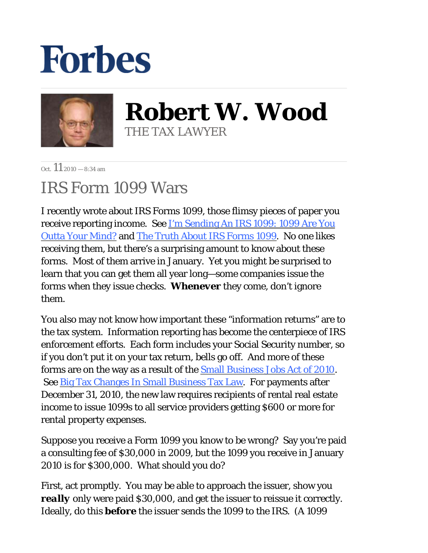## **Forbes**



**Robert W. Wood** THE TAX LAWYER

 $Oct$  11  $2010 - 8:34$  am

## IRS Form 1099 Wars

I recently wrote about IRS Forms 1099, those flimsy pieces of paper you receive reporting income. See I'm Sending An IRS 1099: 1099 Are You Outta Your Mind? and The Truth About IRS Forms 1099. No one likes receiving them, but there's a surprising amount to know about these forms. Most of them arrive in January. Yet you might be surprised to learn that you can get them all year long—some companies issue the forms when they issue checks. *Whenever* they come, don't ignore them.

You also may not know how important these "information returns" are to the tax system. Information reporting has become the centerpiece of IRS enforcement efforts. Each form includes your Social Security number, so if you don't put it on your tax return, bells go off. And more of these forms are on the way as a result of the Small Business Jobs Act of 2010. See **Big Tax Changes In Small Business Tax Law**. For payments after December 31, 2010, the new law requires recipients of rental real estate income to issue 1099s to all service providers getting \$600 or more for rental property expenses.

Suppose you receive a Form 1099 you know to be wrong? Say you're paid a consulting fee of \$30,000 in 2009, but the 1099 you receive in January 2010 is for \$300,000. What should you do?

First, act promptly. You may be able to approach the issuer, show you *really* only were paid \$30,000, and get the issuer to reissue it correctly. Ideally, do this *before* the issuer sends the 1099 to the IRS. (A 1099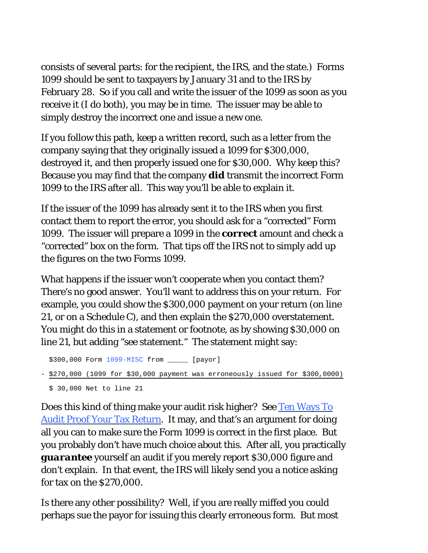consists of several parts: for the recipient, the IRS, and the state.) Forms 1099 should be sent to taxpayers by January 31 and to the IRS by February 28. So if you call and write the issuer of the 1099 as soon as you receive it (I do both), you may be in time. The issuer may be able to simply destroy the incorrect one and issue a new one.

If you follow this path, keep a written record, such as a letter from the company saying that they originally issued a 1099 for \$300,000, destroyed it, and then properly issued one for \$30,000. Why keep this? Because you may find that the company *did* transmit the incorrect Form 1099 to the IRS after all. This way you'll be able to explain it.

If the issuer of the 1099 has already sent it to the IRS when you first contact them to report the error, you should ask for a "corrected" Form 1099. The issuer will prepare a 1099 in the *correct* amount and check a "corrected" box on the form. That tips off the IRS not to simply add up the figures on the two Forms 1099.

What happens if the issuer won't cooperate when you contact them? There's no good answer. You'll want to address this on your return. For example, you could show the \$300,000 payment on your return (on line 21, or on a Schedule C), and then explain the \$270,000 overstatement. You might do this in a statement or footnote, as by showing \$30,000 on line 21, but adding "see statement." The statement might say:

```
 $300,000 Form 1099-MISC from _____ [payor]
```

```
- $270,000 (1099 for $30,000 payment was erroneously issued for $300,0000)
$ 30,000 Net to line 21
```
Does this kind of thing make your audit risk higher? See Ten Ways To Audit Proof Your Tax Return. It may, and that's an argument for doing all you can to make sure the Form 1099 is correct in the first place. But you probably don't have much choice about this. After all, you practically *guarantee* yourself an audit if you merely report \$30,000 figure and don't explain. In that event, the IRS will likely send you a notice asking for tax on the \$270,000.

Is there any other possibility? Well, if you are really miffed you could perhaps sue the payor for issuing this clearly erroneous form. But most